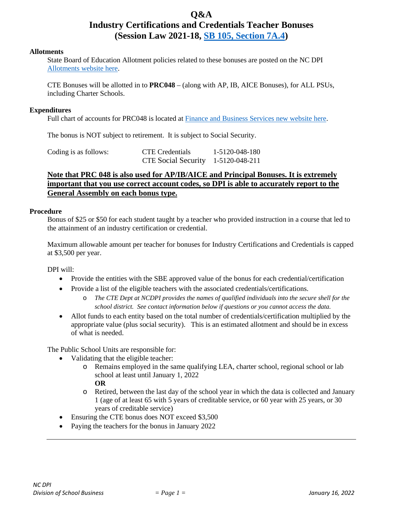# **Q&A Industry Certifications and Credentials Teacher Bonuses (Session Law 2021-18, [SB 105, Section 7A.4\)](https://www.ncleg.gov/Sessions/2021/Bills/Senate/PDF/S105v8.pdf#page=114)**

#### **Allotments**

State Board of Education Allotment policies related to these bonuses are posted on the NC DPI [Allotments](https://www.dpi.nc.gov/districts-schools/district-operations/financial-and-business-services/allotments-funding-public-school-units) website here.

CTE Bonuses will be allotted in to **PRC048** – (along with AP, IB, AICE Bonuses), for ALL PSUs, including Charter Schools.

#### **Expenditures**

Full chart of accounts for PRC048 is located at [Finance and Business Services](https://www.dpi.nc.gov/districts-schools/district-operations/financial-and-business-services/school-district-finance-operations/chart-accounts) new website here.

The bonus is NOT subject to retirement. It is subject to Social Security.

| Coding is as follows: | <b>CTE</b> Credentials             | 1-5120-048-180 |
|-----------------------|------------------------------------|----------------|
|                       | CTE Social Security 1-5120-048-211 |                |

### **Note that PRC 048 is also used for AP/IB/AICE and Principal Bonuses. It is extremely important that you use correct account codes, so DPI is able to accurately report to the General Assembly on each bonus type.**

#### **Procedure**

Bonus of \$25 or \$50 for each student taught by a teacher who provided instruction in a course that led to the attainment of an industry certification or credential.

Maximum allowable amount per teacher for bonuses for Industry Certifications and Credentials is capped at \$3,500 per year.

DPI will:

- Provide the entities with the SBE approved value of the bonus for each credential/certification
- Provide a list of the eligible teachers with the associated credentials/certifications.
	- o *The CTE Dept at NCDPI provides the names of qualified individuals into the secure shell for the school district. See contact information below if questions or you cannot access the data.*
- Allot funds to each entity based on the total number of credentials/certification multiplied by the appropriate value (plus social security). This is an estimated allotment and should be in excess of what is needed.

The Public School Units are responsible for:

- Validating that the eligible teacher:
	- o Remains employed in the same qualifying LEA, charter school, regional school or lab school at least until January 1, 2022

**OR**

- o Retired, between the last day of the school year in which the data is collected and January 1 (age of at least 65 with 5 years of creditable service, or 60 year with 25 years, or 30 years of creditable service)
- Ensuring the CTE bonus does NOT exceed \$3,500
- Paying the teachers for the bonus in January 2022